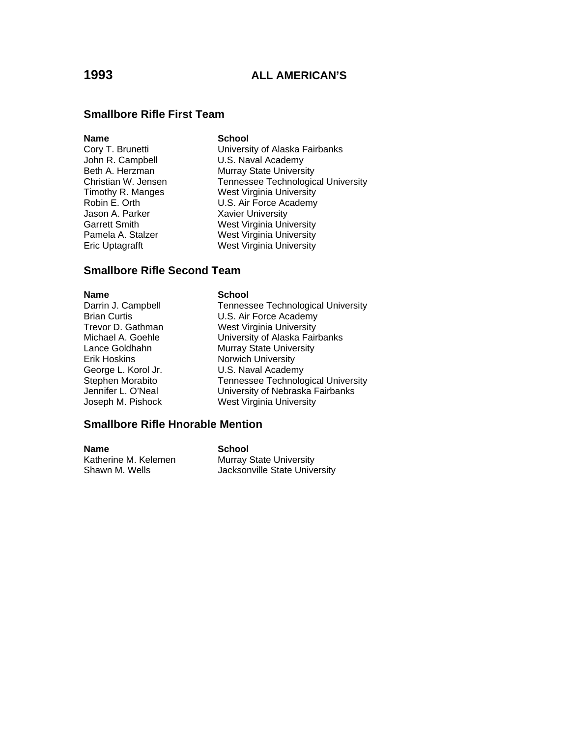### **Smallbore Rifle First Team**

### **Name** School

John R. Campbell **U.S. Naval Academy**<br> **Beth A. Herzman** Murray State Univers Jason A. Parker Xavier University

Cory T. Brunetti **Cory T. Brunetti** University of Alaska Fairbanks<br>
John R. Campbell **U.S.** Naval Academy **Murray State University** Christian W. Jensen Tennessee Technological University Timothy R. Manges West Virginia University Robin E. Orth U.S. Air Force Academy Garrett Smith West Virginia University Pamela A. Stalzer West Virginia University Eric Uptagrafft West Virginia University

### **Smallbore Rifle Second Team**

Darrin J. Campbell Brian Curtis Trevor D. Gathman Michael A. Goehle Lance Goldhahn Erik Hoskins George L. Korol Jr. Stephen Morabito Jennifer L. O'Neal Joseph M. Pishock

### **Name** School

| <b>Tennessee Technological University</b> |
|-------------------------------------------|
| U.S. Air Force Academy                    |
| <b>West Virginia University</b>           |
| University of Alaska Fairbanks            |
| <b>Murray State University</b>            |
| <b>Norwich University</b>                 |
| U.S. Naval Academy                        |
| <b>Tennessee Technological University</b> |
| University of Nebraska Fairbanks          |
| <b>West Virginia University</b>           |
|                                           |

### **Smallbore Rifle Hnorable Mention**

**Name** School Katherine M. Kelemen Murray State University Shawn M. Wells **Jacksonville State University**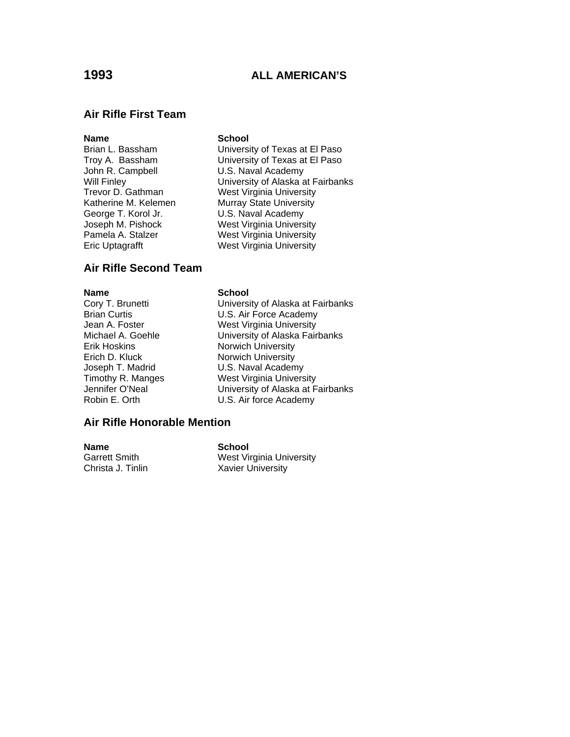## **1993 ALL AMERICAN'S**

### **Air Rifle First Team**

### **Name** School

George T. Korol Jr. **U.S. Naval Academy** 

Brian L. Bassham University of Texas at El Paso Troy A. Bassham University of Texas at El Paso<br>John R. Campbell U.S. Naval Academy U.S. Naval Academy Will Finley<br>Trevor D. Gathman **West Virginia University** Trevor D. Gathman West Virginia University<br>Katherine M. Kelemen Murray State University **Murray State University** Joseph M. Pishock West Virginia University<br>
Pamela A. Stalzer West Virginia University West Virginia University Eric Uptagrafft West Virginia University

### **Air Rifle Second Team**

Erik Hoskins Norwich University Erich D. Kluck Norwich University

### **Name** School

Cory T. Brunetti **Cory T. Brunetti** University of Alaska at Fairbanks<br>Brian Curtis **Corporation Corporation** U.S. Air Force Academy U.S. Air Force Academy Jean A. Foster **West Virginia University** Michael A. Goehle **University of Alaska Fairbanks** Joseph T. Madrid **U.S. Naval Academy**<br>
Timothy R. Manges **West Virginia Univers** Timothy R. Manges **Mest Virginia University**<br>Jennifer O'Neal **Mest Containery** University of Alaska at F Jennifer O'Neal<br>
Robin E. Orth U.S. Air force Academy U.S. Air force Academy

### **Air Rifle Honorable Mention**

**Name School**<br>Garrett Smith **School West Vi** 

West Virginia University Christa J. Tinlin Xavier University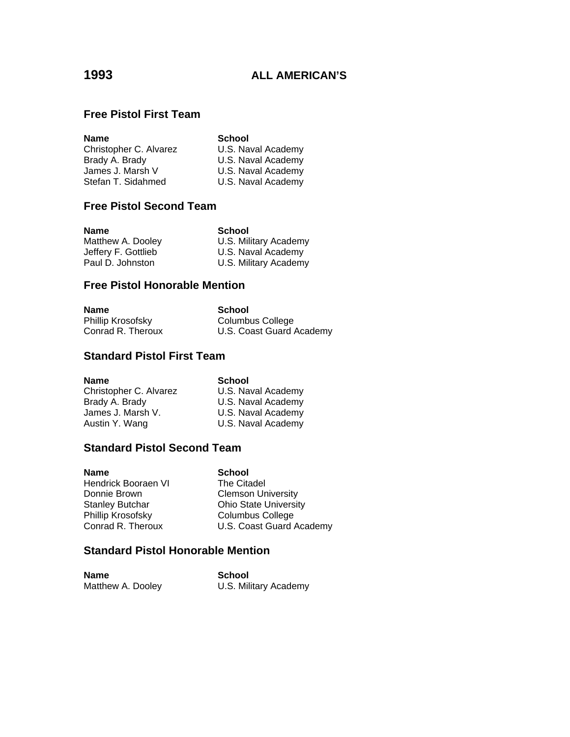# **Free Pistol First Team**

| <b>School</b>      |
|--------------------|
| U.S. Naval Academy |
| U.S. Naval Academy |
| U.S. Naval Academy |
| U.S. Naval Academy |
|                    |

# **Free Pistol Second Team**

| <b>Name</b>         | School                |
|---------------------|-----------------------|
| Matthew A. Dooley   | U.S. Military Academy |
| Jeffery F. Gottlieb | U.S. Naval Academy    |
| Paul D. Johnston    | U.S. Military Academy |

## **Free Pistol Honorable Mention**

| Name              | School                   |
|-------------------|--------------------------|
| Phillip Krosofsky | Columbus College         |
| Conrad R. Theroux | U.S. Coast Guard Academy |

# **Standard Pistol First Team**

| <b>School</b>      |
|--------------------|
| U.S. Naval Academy |
| U.S. Naval Academy |
| U.S. Naval Academy |
| U.S. Naval Academy |
|                    |

## **Standard Pistol Second Team**

| Name                | <b>School</b>                |
|---------------------|------------------------------|
| Hendrick Booraen VI | The Citadel                  |
| Donnie Brown        | <b>Clemson University</b>    |
| Stanley Butchar     | <b>Ohio State University</b> |
| Phillip Krosofsky   | <b>Columbus College</b>      |
| Conrad R. Theroux   | U.S. Coast Guard Academy     |
|                     |                              |

# **Standard Pistol Honorable Mention**

| <b>Name</b>       | School                |
|-------------------|-----------------------|
| Matthew A. Dooley | U.S. Military Academy |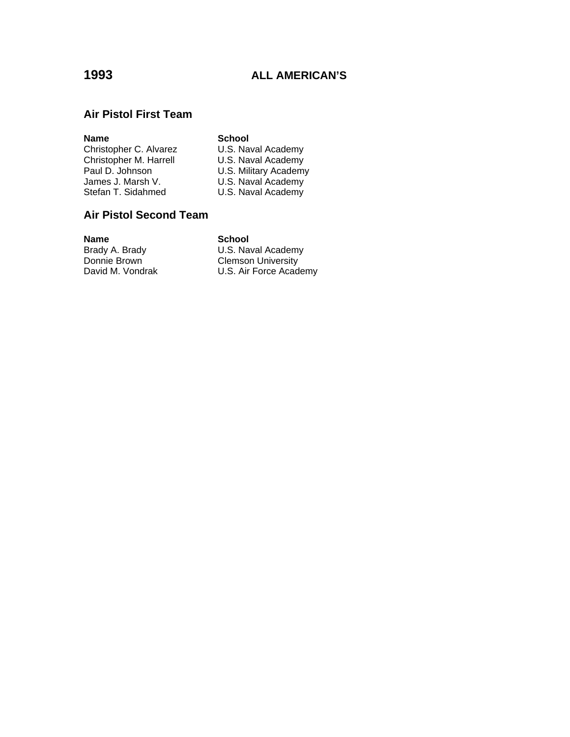# **1993 ALL AMERICAN'S**

### **Air Pistol First Team**

### **Name**<br> **Christopher C. Alvarez U.S. Naval Academy** Christopher C. Alvarez U.S. Naval Academy<br>Christopher M. Harrell U.S. Naval Academy Christopher M. Harrell<br>Paul D. Johnson Paul D. Johnson U.S. Military Academy<br>James J. Marsh V. U.S. Naval Academy James J. Marsh V. **Example 3 U.S. Naval Academy** Stefan T. Sidahmed **U.S. Naval Academy**

### **Air Pistol Second Team**

**Name School**<br>Brady A. Brady **School**<br>U.S. Nav Donnie Brown<br>
David M. Vondrak<br>
U.S. Air Force Acad

# Brady A. Brady **Exercise State Laway** U.S. Naval Academy Donnie Brown

U.S. Air Force Academy